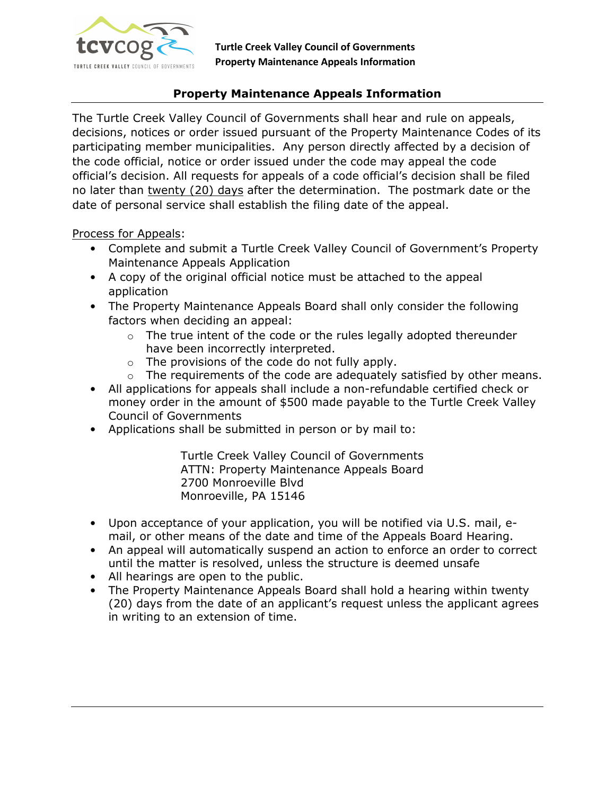

# Property Maintenance Appeals Information

The Turtle Creek Valley Council of Governments shall hear and rule on appeals, decisions, notices or order issued pursuant of the Property Maintenance Codes of its participating member municipalities. Any person directly affected by a decision of the code official, notice or order issued under the code may appeal the code official's decision. All requests for appeals of a code official's decision shall be filed no later than twenty (20) days after the determination. The postmark date or the date of personal service shall establish the filing date of the appeal.

Process for Appeals:

- Complete and submit a Turtle Creek Valley Council of Government's Property Maintenance Appeals Application
- A copy of the original official notice must be attached to the appeal application
- The Property Maintenance Appeals Board shall only consider the following factors when deciding an appeal:
	- $\circ$  The true intent of the code or the rules legally adopted thereunder have been incorrectly interpreted.
	- $\circ$  The provisions of the code do not fully apply.
	- o The requirements of the code are adequately satisfied by other means.
- All applications for appeals shall include a non-refundable certified check or money order in the amount of \$500 made payable to the Turtle Creek Valley Council of Governments
- Applications shall be submitted in person or by mail to:

Turtle Creek Valley Council of Governments ATTN: Property Maintenance Appeals Board 2700 Monroeville Blvd Monroeville, PA 15146

- Upon acceptance of your application, you will be notified via U.S. mail, email, or other means of the date and time of the Appeals Board Hearing.
- An appeal will automatically suspend an action to enforce an order to correct until the matter is resolved, unless the structure is deemed unsafe
- All hearings are open to the public.
- The Property Maintenance Appeals Board shall hold a hearing within twenty (20) days from the date of an applicant's request unless the applicant agrees in writing to an extension of time.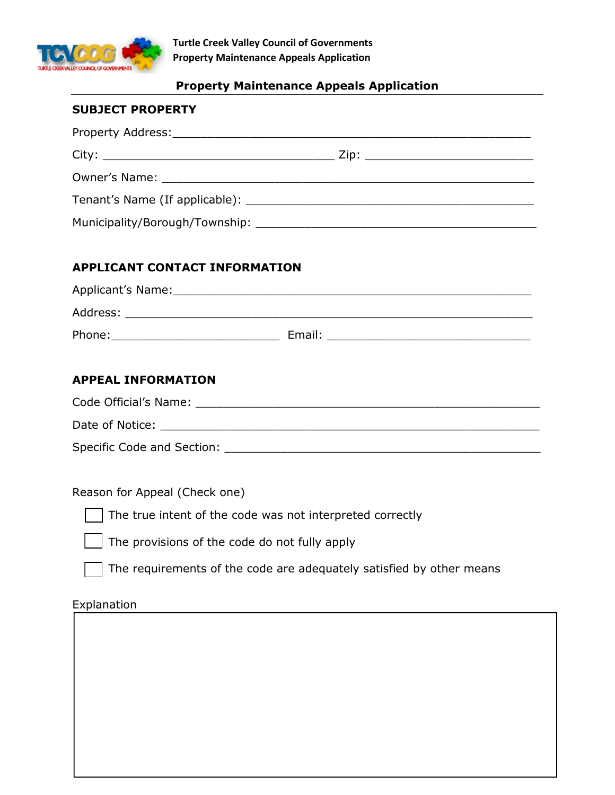

## Property Maintenance Appeals Application

#### SUBJECT PROPERTY

| Property Address: No. 1997. March 1997. The Contract of Trender and Trender and Trender and Trender and Trender                                                                                                                |  |
|--------------------------------------------------------------------------------------------------------------------------------------------------------------------------------------------------------------------------------|--|
|                                                                                                                                                                                                                                |  |
|                                                                                                                                                                                                                                |  |
| Tenant's Name (If applicable): Name of the same of the same of the same of the same of the same of the same of the same of the same of the same of the same of the same of the same of the same of the same of the same of the |  |
| Municipality/Borough/Township: www.alian.com/watch?unity/Borough/Township:                                                                                                                                                     |  |

#### APPLICANT CONTACT INFORMATION

| Applicant's Name: |        |
|-------------------|--------|
| Address:          |        |
| Phone:            | Email: |

## APPEAL INFORMATION

| Code Official's Name:      |  |
|----------------------------|--|
| Date of Notice:            |  |
| Specific Code and Section: |  |

# Reason for Appeal (Check one)

The true intent of the code was not interpreted correctly



The provisions of the code do not fully apply

The requirements of the code are adequately satisfied by other means

# Explanation